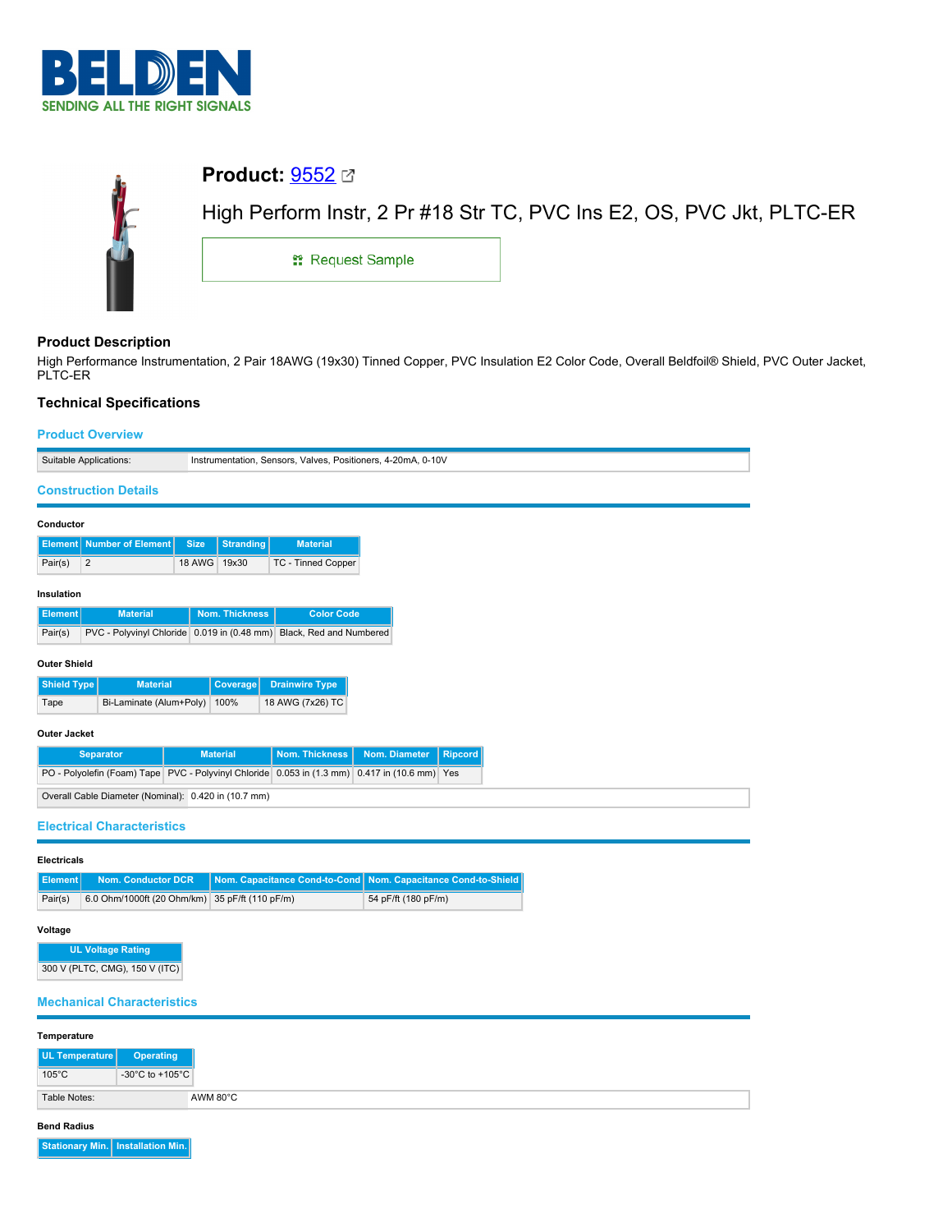

| <b>Product:</b> $9552$ $\,\mathrm{C}$ |                                                                       |
|---------------------------------------|-----------------------------------------------------------------------|
|                                       | High Perform Instr, 2 Pr #18 Str TC, PVC Ins E2, OS, PVC Jkt, PLTC-ER |
| <sub>11</sub> Request Sample          |                                                                       |
|                                       |                                                                       |

# **Product Description**

High Performance Instrumentation, 2 Pair 18AWG (19x30) Tinned Copper, PVC Insulation E2 Color Code, Overall Beldfoil® Shield, PVC Outer Jacket, PLTC-ER

# **Technical Specifications**

## **Product Overview**

|                       | Suitable Applications:                                     |                                 | Instrumentation, Sensors, Valves, Positioners, 4-20mA, 0-10V                                  |                     |                                 |  |  |
|-----------------------|------------------------------------------------------------|---------------------------------|-----------------------------------------------------------------------------------------------|---------------------|---------------------------------|--|--|
|                       |                                                            |                                 |                                                                                               |                     |                                 |  |  |
|                       | <b>Construction Details</b>                                |                                 |                                                                                               |                     |                                 |  |  |
| Conductor             |                                                            |                                 |                                                                                               |                     |                                 |  |  |
|                       | <b>Element</b> Number of Element                           | <b>Size</b><br><b>Stranding</b> | <b>Material</b>                                                                               |                     |                                 |  |  |
| Pair(s)               | $\overline{2}$                                             | 18 AWG<br>19x30                 | TC - Tinned Copper                                                                            |                     |                                 |  |  |
|                       |                                                            |                                 |                                                                                               |                     |                                 |  |  |
| Insulation            |                                                            |                                 |                                                                                               |                     |                                 |  |  |
| <b>Element</b>        | <b>Material</b>                                            | Nom. Thickness                  | <b>Color Code</b>                                                                             |                     |                                 |  |  |
| Pair(s)               |                                                            |                                 | PVC - Polyvinyl Chloride 0.019 in (0.48 mm) Black, Red and Numbered                           |                     |                                 |  |  |
| <b>Outer Shield</b>   |                                                            |                                 |                                                                                               |                     |                                 |  |  |
| <b>Shield Type</b>    | <b>Material</b>                                            | <b>Coverage</b>                 | <b>Drainwire Type</b>                                                                         |                     |                                 |  |  |
| Tape                  | Bi-Laminate (Alum+Poly)                                    | 100%                            | 18 AWG (7x26) TC                                                                              |                     |                                 |  |  |
| <b>Outer Jacket</b>   |                                                            |                                 |                                                                                               |                     |                                 |  |  |
|                       | <b>Separator</b>                                           | <b>Material</b>                 | <b>Nom. Thickness</b>                                                                         | Nom. Diameter       | <b>Ripcord</b>                  |  |  |
|                       |                                                            |                                 | PO - Polyolefin (Foam) Tape PVC - Polyvinyl Chloride 0.053 in (1.3 mm) 0.417 in (10.6 mm) Yes |                     |                                 |  |  |
|                       | Overall Cable Diameter (Nominal): 0.420 in (10.7 mm)       |                                 |                                                                                               |                     |                                 |  |  |
|                       |                                                            |                                 |                                                                                               |                     |                                 |  |  |
|                       | <b>Electrical Characteristics</b>                          |                                 |                                                                                               |                     |                                 |  |  |
| <b>Electricals</b>    |                                                            |                                 |                                                                                               |                     |                                 |  |  |
| <b>Element</b>        | <b>Nom. Conductor DCR</b>                                  |                                 | Nom. Capacitance Cond-to-Cond                                                                 |                     | Nom. Capacitance Cond-to-Shield |  |  |
| Pair(s)               | 6.0 Ohm/1000ft (20 Ohm/km) 35 pF/ft (110 pF/m)             |                                 |                                                                                               | 54 pF/ft (180 pF/m) |                                 |  |  |
|                       |                                                            |                                 |                                                                                               |                     |                                 |  |  |
| Voltage               |                                                            |                                 |                                                                                               |                     |                                 |  |  |
|                       | <b>UL Voltage Rating</b><br>300 V (PLTC, CMG), 150 V (ITC) |                                 |                                                                                               |                     |                                 |  |  |
|                       |                                                            |                                 |                                                                                               |                     |                                 |  |  |
|                       | <b>Mechanical Characteristics</b>                          |                                 |                                                                                               |                     |                                 |  |  |
|                       |                                                            |                                 |                                                                                               |                     |                                 |  |  |
| Temperature           |                                                            |                                 |                                                                                               |                     |                                 |  |  |
| <b>UL Temperature</b> | <b>Operating</b>                                           |                                 |                                                                                               |                     |                                 |  |  |

| $105^{\circ}$ C | $-30^{\circ}$ C to $+105^{\circ}$ C |                    |
|-----------------|-------------------------------------|--------------------|
| Table Notes:    |                                     | AWM $80^{\circ}$ C |

### **Bend Radius**

**Stationary Min. Installation Min.**